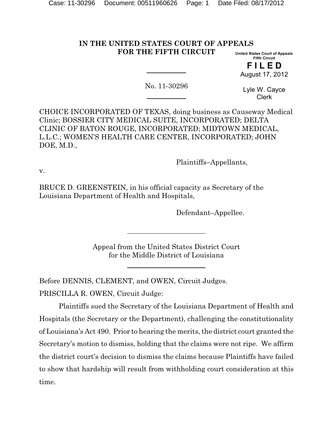#### **IN THE UNITED STATES COURT OF APPEALS FOR THE FIFTH CIRCUIT United States Court of Appeals**

**Fifth Circuit F I L E D** August 17, 2012

No. 11-30296

Lyle W. Cayce Clerk

CHOICE INCORPORATED OF TEXAS, doing business as Causeway Medical Clinic; BOSSIER CITY MEDICAL SUITE, INCORPORATED; DELTA CLINIC OF BATON ROUGE, INCORPORATED; MIDTOWN MEDICAL, L.L.C.; WOMEN'S HEALTH CARE CENTER, INCORPORATED; JOHN DOE, M.D.,

Plaintiffs–Appellants,

v.

BRUCE D. GREENSTEIN, in his official capacity as Secretary of the Louisiana Department of Health and Hospitals,

Defendant–Appellee.

Appeal from the United States District Court for the Middle District of Louisiana

Before DENNIS, CLEMENT, and OWEN, Circuit Judges.

PRISCILLA R. OWEN, Circuit Judge:

Plaintiffs sued the Secretary of the Louisiana Department of Health and Hospitals (the Secretary or the Department), challenging the constitutionality of Louisiana's Act 490. Prior to hearing the merits, the district court granted the Secretary's motion to dismiss, holding that the claims were not ripe. We affirm the district court's decision to dismiss the claims because Plaintiffs have failed to show that hardship will result from withholding court consideration at this time.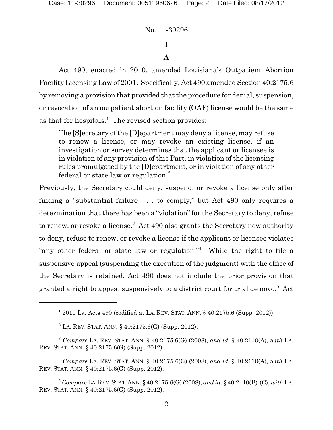# **I**

## **A**

Act 490, enacted in 2010, amended Louisiana's Outpatient Abortion Facility Licensing Law of 2001. Specifically, Act 490 amended Section 40:2175.6 by removing a provision that provided that the procedure for denial, suspension, or revocation of an outpatient abortion facility (OAF) license would be the same as that for hospitals.<sup>1</sup> The revised section provides:

The [S]ecretary of the [D]epartment may deny a license, may refuse to renew a license, or may revoke an existing license, if an investigation or survey determines that the applicant or licensee is in violation of any provision of this Part, in violation of the licensing rules promulgated by the [D]epartment, or in violation of any other federal or state law or regulation.<sup>2</sup>

Previously, the Secretary could deny, suspend, or revoke a license only after finding a "substantial failure . . . to comply," but Act 490 only requires a determination that there has been a "violation" for the Secretary to deny, refuse to renew, or revoke a license.<sup>3</sup> Act 490 also grants the Secretary new authority to deny, refuse to renew, or revoke a license if the applicant or licensee violates "any other federal or state law or regulation."<sup>4</sup> While the right to file a suspensive appeal (suspending the execution of the judgment) with the office of the Secretary is retained, Act 490 does not include the prior provision that granted a right to appeal suspensively to a district court for trial de novo.<sup>5</sup> Act

 $^{1}$  2010 La. Acts 490 (codified at LA. REV. STAT. ANN. § 40:2175.6 (Supp. 2012)).

 $2$  LA. REV. STAT. ANN. § 40:2175.6(G) (Supp. 2012).

*Compare* LA. REV. STAT. ANN. § 40:2175.6(G) (2008), *and id.* § 40:2110(A), *with* LA. 3 REV. STAT. ANN. § 40:2175.6(G) (Supp. 2012).

*Compare* LA. REV. STAT. ANN. § 40:2175.6(G) (2008), *and id.* § 40:2110(A), *with* LA. 4 REV. STAT. ANN. § 40:2175.6(G) (Supp. 2012).

*Compare* LA.REV.STAT.ANN. § 40:2175.6(G) (2008), *and id.* § 40:2110(B)-(C), *with* LA. 5 REV. STAT. ANN. § 40:2175.6(G) (Supp. 2012).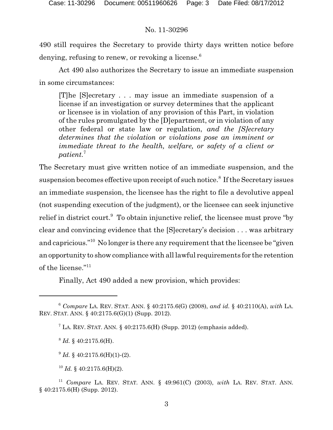490 still requires the Secretary to provide thirty days written notice before denying, refusing to renew, or revoking a license. $6$ 

Act 490 also authorizes the Secretary to issue an immediate suspension in some circumstances:

[T]he [S]ecretary . . . may issue an immediate suspension of a license if an investigation or survey determines that the applicant or licensee is in violation of any provision of this Part, in violation of the rules promulgated by the [D]epartment, or in violation of any other federal or state law or regulation, *and the [S]ecretary determines that the violation or violations pose an imminent or immediate threat to the health, welfare, or safety of a client or patient.*<sup>7</sup>

The Secretary must give written notice of an immediate suspension, and the suspension becomes effective upon receipt of such notice.<sup>8</sup> If the Secretary issues an immediate suspension, the licensee has the right to file a devolutive appeal (not suspending execution of the judgment), or the licensee can seek injunctive relief in district court. $9$  To obtain injunctive relief, the licensee must prove "by clear and convincing evidence that the [S]ecretary's decision . . . was arbitrary and capricious."<sup>10</sup> No longer is there any requirement that the licensee be "given" an opportunity to show compliance with all lawful requirements for the retention of the license."<sup>11</sup>

Finally, Act 490 added a new provision, which provides:

 ${}^8$  *Id.* § 40:2175.6(H).

 $^{9}$  *Id.* § 40:2175.6(H)(1)-(2).

 $^{10}$  *Id.* § 40:2175.6(H)(2).

*Compare* LA. REV. STAT. ANN. § 40:2175.6(G) (2008), *and id.* § 40:2110(A), *with* LA. 6 REV. STAT. ANN. § 40:2175.6(G)(1) (Supp. 2012).

 $^7$  LA. REV. STAT. ANN. § 40:2175.6(H) (Supp. 2012) (emphasis added).

*Compare* LA. REV. STAT. ANN. § 49:961(C) (2003), *with* LA. REV. STAT. ANN. 11 § 40:2175.6(H) (Supp. 2012).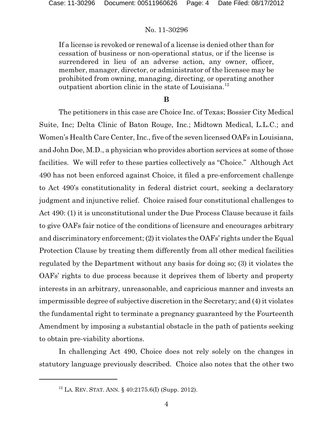If a license is revoked or renewal of a license is denied other than for cessation of business or non-operational status, or if the license is surrendered in lieu of an adverse action, any owner, officer, member, manager, director, or administrator of the licensee may be prohibited from owning, managing, directing, or operating another outpatient abortion clinic in the state of Louisiana.<sup>12</sup>

### **B**

The petitioners in this case are Choice Inc. of Texas; Bossier City Medical Suite, Inc; Delta Clinic of Baton Rouge, Inc.; Midtown Medical, L.L.C.; and Women's Health Care Center, Inc., five of the seven licensed OAFs in Louisiana, and John Doe, M.D., a physician who provides abortion services at some of those facilities. We will refer to these parties collectively as "Choice." Although Act 490 has not been enforced against Choice, it filed a pre-enforcement challenge to Act 490's constitutionality in federal district court, seeking a declaratory judgment and injunctive relief. Choice raised four constitutional challenges to Act 490: (1) it is unconstitutional under the Due Process Clause because it fails to give OAFs fair notice of the conditions of licensure and encourages arbitrary and discriminatory enforcement; (2) it violates the OAFs' rights under the Equal Protection Clause by treating them differently from all other medical facilities regulated by the Department without any basis for doing so; (3) it violates the OAFs' rights to due process because it deprives them of liberty and property interests in an arbitrary, unreasonable, and capricious manner and invests an impermissible degree of subjective discretion in the Secretary; and (4) it violates the fundamental right to terminate a pregnancy guaranteed by the Fourteenth Amendment by imposing a substantial obstacle in the path of patients seeking to obtain pre-viability abortions.

In challenging Act 490, Choice does not rely solely on the changes in statutory language previously described. Choice also notes that the other two

 $12$  LA. REV. STAT. ANN. § 40:2175.6(I) (Supp. 2012).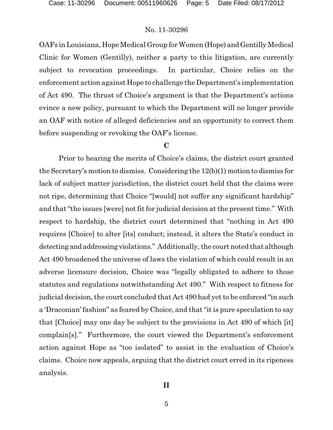OAFs in Louisiana, Hope Medical Group for Women (Hope) and Gentilly Medical Clinic for Women (Gentilly), neither a party to this litigation, are currently subject to revocation proceedings. In particular, Choice relies on the enforcement action against Hope to challenge the Department's implementation of Act 490. The thrust of Choice's argument is that the Department's actions evince a new policy, pursuant to which the Department will no longer provide an OAF with notice of alleged deficiencies and an opportunity to correct them before suspending or revoking the OAF's license.

### **C**

Prior to hearing the merits of Choice's claims, the district court granted the Secretary's motion to dismiss. Considering the 12(b)(1) motion to dismiss for lack of subject matter jurisdiction, the district court held that the claims were not ripe, determining that Choice "[would] not suffer any significant hardship" and that "the issues [were] not fit for judicial decision at the present time." With respect to hardship, the district court determined that "nothing in Act 490 requires [Choice] to alter [its] conduct; instead, it alters the State's conduct in detecting and addressing violations." Additionally, the court noted that although Act 490 broadened the universe of laws the violation of which could result in an adverse licensure decision, Choice was "legally obligated to adhere to those statutes and regulations notwithstanding Act 490." With respect to fitness for judicial decision, the court concluded that Act 490 had yet to be enforced "in such a 'Draconian' fashion" as feared by Choice, and that "it is pure speculation to say that [Choice] may one day be subject to the provisions in Act 490 of which [it] complain[s]." Furthermore, the court viewed the Department's enforcement action against Hope as "too isolated" to assist in the evaluation of Choice's claims. Choice now appeals, arguing that the district court erred in its ripeness analysis.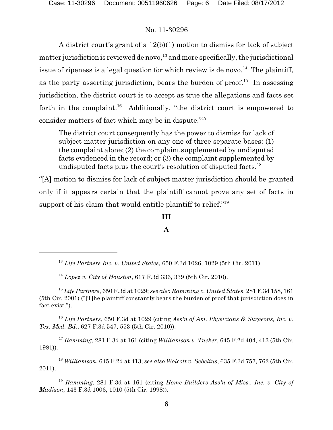A district court's grant of a 12(b)(1) motion to dismiss for lack of subject matter jurisdiction is reviewed de novo,  $13$  and more specifically, the jurisdictional issue of ripeness is a legal question for which review is de novo.<sup>14</sup> The plaintiff, as the party asserting jurisdiction, bears the burden of proof.<sup>15</sup> In assessing jurisdiction, the district court is to accept as true the allegations and facts set forth in the complaint.<sup>16</sup> Additionally, "the district court is empowered to consider matters of fact which may be in dispute."<sup>17</sup>

The district court consequently has the power to dismiss for lack of subject matter jurisdiction on any one of three separate bases: (1) the complaint alone; (2) the complaint supplemented by undisputed facts evidenced in the record; or (3) the complaint supplemented by undisputed facts plus the court's resolution of disputed facts.<sup>18</sup>

"[A] motion to dismiss for lack of subject matter jurisdiction should be granted only if it appears certain that the plaintiff cannot prove any set of facts in support of his claim that would entitle plaintiff to relief."<sup>19</sup>

### **III**

### **A**

<sup>16</sup> Life Partners, 650 F.3d at 1029 (citing *Ass'n of Am. Physicians* & Surgeons, Inc. v. *Tex. Med. Bd.*, 627 F.3d 547, 553 (5th Cir. 2010)).

*Ramming*, 281 F.3d at 161 (citing *Williamson v. Tucker*, 645 F.2d 404, 413 (5th Cir. <sup>17</sup> 1981)).

*Williamson*, 645 F.2d at 413; *see also Wolcott v. Sebelius*, 635 F.3d 757, 762 (5th Cir. <sup>18</sup> 2011).

<sup>19</sup> Ramming, 281 F.3d at 161 (citing *Home Builders Ass'n of Miss., Inc. v. City of Madison*, 143 F.3d 1006, 1010 (5th Cir. 1998)).

*Life Partners Inc. v. United States*, 650 F.3d 1026, 1029 (5th Cir. 2011). 13

*Lopez v. City of Houston*, 617 F.3d 336, 339 (5th Cir. 2010). 14

*Life Partners*, 650 F.3d at 1029; *see also Ramming v. United States*, 281 F.3d 158, 161 <sup>15</sup> (5th Cir. 2001) ("[T]he plaintiff constantly bears the burden of proof that jurisdiction does in fact exist.").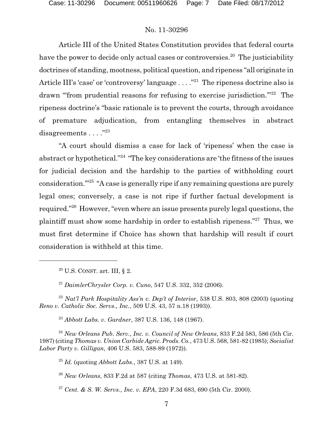Article III of the United States Constitution provides that federal courts have the power to decide only actual cases or controversies.<sup>20</sup> The justiciability doctrines of standing, mootness, political question, and ripeness "all originate in Article III's 'case' or 'controversy' language  $\dots$  ."<sup>21</sup> The ripeness doctrine also is drawn "from prudential reasons for refusing to exercise jurisdiction."<sup>22</sup> The ripeness doctrine's "basic rationale is to prevent the courts, through avoidance of premature adjudication, from entangling themselves in abstract disagreements . . . . "23

"A court should dismiss a case for lack of 'ripeness' when the case is abstract or hypothetical."<sup>24</sup> "The key considerations are 'the fitness of the issues for judicial decision and the hardship to the parties of withholding court consideration. $125$  "A case is generally ripe if any remaining questions are purely legal ones; conversely, a case is not ripe if further factual development is required." <sup>26</sup> However, "even where an issue presents purely legal questions, the plaintiff must show some hardship in order to establish ripeness."<sup>27</sup> Thus, we must first determine if Choice has shown that hardship will result if court consideration is withheld at this time.

 $20$  U.S. CONST. art. III, § 2.

<sup>21</sup> DaimlerChrysler Corp. v. Cuno, 547 U.S. 332, 352 (2006).

*Nat'l Park Hospitality Ass'n v. Dep't of Interior*, 538 U.S. 803, 808 (2003) (quoting 22 *Reno v. Catholic Soc. Servs., Inc.*, 509 U.S. 43, 57 n.18 (1993)).

<sup>23</sup> Abbott Labs. v. Gardner, 387 U.S. 136, 148 (1967).

<sup>24</sup> New Orleans Pub. Serv., Inc. v. Council of New Orleans, 833 F.2d 583, 586 (5th Cir. 1987) (citing *Thomas v. Union Carbide Agric. Prods. Co.*, 473 U.S. 568, 581-82 (1985); *Socialist Labor Party v. Gilligan*, 406 U.S. 583, 588-89 (1972)).

 $^{25}$  *Id.* (quoting *Abbott Labs.*, 387 U.S. at 149).

*New Orleans*, 833 F.2d at 587 (citing *Thomas*, 473 U.S. at 581-82). 26

*Cent. & S. W. Servs., Inc. v. EPA*, 220 F.3d 683, 690 (5th Cir. 2000). 27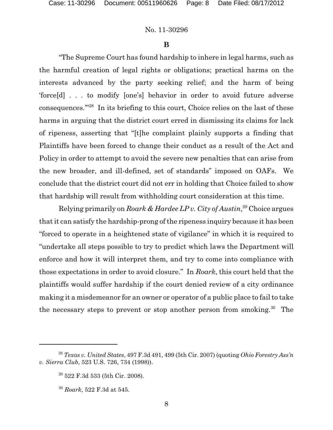#### **B**

"The Supreme Court has found hardship to inhere in legal harms, such as the harmful creation of legal rights or obligations; practical harms on the interests advanced by the party seeking relief; and the harm of being 'force[d] . . . to modify [one's] behavior in order to avoid future adverse consequences. $128$  In its briefing to this court, Choice relies on the last of these harms in arguing that the district court erred in dismissing its claims for lack of ripeness, asserting that "[t]he complaint plainly supports a finding that Plaintiffs have been forced to change their conduct as a result of the Act and Policy in order to attempt to avoid the severe new penalties that can arise from the new broader, and ill-defined, set of standards" imposed on OAFs. We conclude that the district court did not err in holding that Choice failed to show that hardship will result from withholding court consideration at this time.

Relying primarily on *Roark & Hardee LP v. City of Austin*<sup>29</sup> Choice argues that it can satisfy the hardship-prong of the ripeness inquiry because it has been "forced to operate in a heightened state of vigilance" in which it is required to "undertake all steps possible to try to predict which laws the Department will enforce and how it will interpret them, and try to come into compliance with those expectations in order to avoid closure." In *Roark*, this court held that the plaintiffs would suffer hardship if the court denied review of a city ordinance making it a misdemeanor for an owner or operator of a public place to fail to take the necessary steps to prevent or stop another person from smoking.<sup>30</sup> The

<sup>&</sup>lt;sup>28</sup> Texas *v. United States*, 497 F.3d 491, 499 (5th Cir. 2007) (quoting *Ohio Forestry Ass'n v. Sierra Club*, 523 U.S. 726, 734 (1998)).

 $29$  522 F.3d 533 (5th Cir. 2008).

*Roark*, 522 F.3d at 545. 30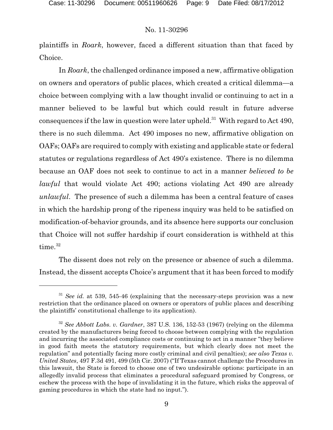plaintiffs in *Roark*, however, faced a different situation than that faced by Choice.

In *Roark*, the challenged ordinance imposed a new, affirmative obligation on owners and operators of public places, which created a critical dilemma—a choice between complying with a law thought invalid or continuing to act in a manner believed to be lawful but which could result in future adverse consequences if the law in question were later upheld.<sup>31</sup> With regard to Act 490, there is no such dilemma. Act 490 imposes no new, affirmative obligation on OAFs; OAFs are required to comply with existing and applicable state or federal statutes or regulations regardless of Act 490's existence. There is no dilemma because an OAF does not seek to continue to act in a manner *believed to be lawful* that would violate Act 490; actions violating Act 490 are already *unlawful*. The presence of such a dilemma has been a central feature of cases in which the hardship prong of the ripeness inquiry was held to be satisfied on modification-of-behavior grounds, and its absence here supports our conclusion that Choice will not suffer hardship if court consideration is withheld at this time.<sup>32</sup>

The dissent does not rely on the presence or absence of such a dilemma. Instead, the dissent accepts Choice's argument that it has been forced to modify

 $31$  *See id.* at 539, 545-46 (explaining that the necessary-steps provision was a new restriction that the ordinance placed on owners or operators of public places and describing the plaintiffs' constitutional challenge to its application).

 $32$  *See Abbott Labs. v. Gardner*, 387 U.S. 136, 152-53 (1967) (relying on the dilemma created by the manufacturers being forced to choose between complying with the regulation and incurring the associated compliance costs or continuing to act in a manner "they believe in good faith meets the statutory requirements, but which clearly does not meet the regulation" and potentially facing more costly criminal and civil penalties); *see also Texas v. United States*, 497 F.3d 491, 499 (5th Cir. 2007) ("If Texas cannot challenge the Procedures in this lawsuit, the State is forced to choose one of two undesirable options: participate in an allegedly invalid process that eliminates a procedural safeguard promised by Congress, or eschew the process with the hope of invalidating it in the future, which risks the approval of gaming procedures in which the state had no input.").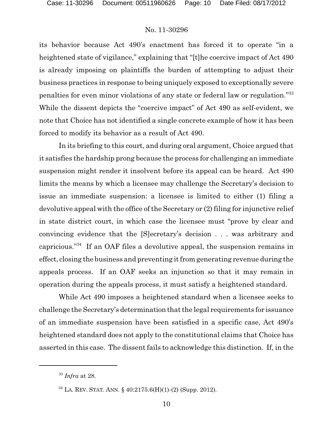its behavior because Act 490's enactment has forced it to operate "in a heightened state of vigilance," explaining that "[t]he coercive impact of Act 490 is already imposing on plaintiffs the burden of attempting to adjust their business practices in response to being uniquely exposed to exceptionally severe penalties for even minor violations of any state or federal law or regulation."<sup>33</sup> While the dissent depicts the "coercive impact" of Act 490 as self-evident, we note that Choice has not identified a single concrete example of how it has been forced to modify its behavior as a result of Act 490.

In its briefing to this court, and during oral argument, Choice argued that it satisfies the hardship prong because the process for challenging an immediate suspension might render it insolvent before its appeal can be heard. Act 490 limits the means by which a licensee may challenge the Secretary's decision to issue an immediate suspension: a licensee is limited to either (1) filing a devolutive appeal with the office of the Secretary or (2) filing for injunctive relief in state district court, in which case the licensee must "prove by clear and convincing evidence that the [S]ecretary's decision . . . was arbitrary and capricious." If an OAF files a devolutive appeal, the suspension remains in effect, closing the business and preventing it from generating revenue during the appeals process. If an OAF seeks an injunction so that it may remain in operation during the appeals process, it must satisfy a heightened standard.

While Act 490 imposes a heightened standard when a licensee seeks to challenge the Secretary's determination that the legal requirements for issuance of an immediate suspension have been satisfied in a specific case, Act 490's heightened standard does not apply to the constitutional claims that Choice has asserted in this case. The dissent fails to acknowledge this distinction. If, in the

<sup>&</sup>lt;sup>33</sup> *Infra* at 28.

 $34$  LA. REV. STAT. ANN. § 40:2175.6(H)(1)-(2) (Supp. 2012).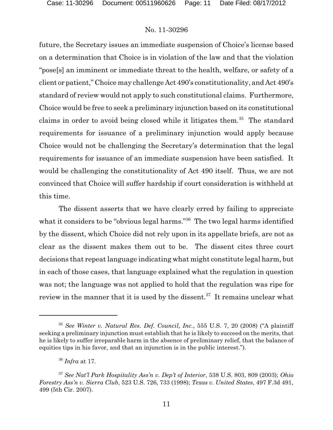future, the Secretary issues an immediate suspension of Choice's license based on a determination that Choice is in violation of the law and that the violation "pose[s] an imminent or immediate threat to the health, welfare, or safety of a client or patient," Choice may challenge Act 490's constitutionality, and Act 490's standard of review would not apply to such constitutional claims. Furthermore, Choice would be free to seek a preliminary injunction based on its constitutional claims in order to avoid being closed while it litigates them.<sup>35</sup> The standard requirements for issuance of a preliminary injunction would apply because Choice would not be challenging the Secretary's determination that the legal requirements for issuance of an immediate suspension have been satisfied. It would be challenging the constitutionality of Act 490 itself. Thus, we are not convinced that Choice will suffer hardship if court consideration is withheld at this time.

The dissent asserts that we have clearly erred by failing to appreciate what it considers to be "obvious legal harms." The two legal harms identified by the dissent, which Choice did not rely upon in its appellate briefs, are not as clear as the dissent makes them out to be. The dissent cites three court decisions that repeat language indicating what might constitute legal harm, but in each of those cases, that language explained what the regulation in question was not; the language was not applied to hold that the regulation was ripe for review in the manner that it is used by the dissent.<sup>37</sup> It remains unclear what

*See Winter v. Natural Res. Def. Council, Inc.*, 555 U.S. 7, 20 (2008) ("A plaintiff 35 seeking a preliminary injunction must establish that he is likely to succeed on the merits, that he is likely to suffer irreparable harm in the absence of preliminary relief, that the balance of equities tips in his favor, and that an injunction is in the public interest.").

*Infra* at 17. <sup>36</sup>

*See Nat'l Park Hospitality Ass'n v. Dep't of Interior*, 538 U.S. 803, 809 (2003); *Ohio* <sup>37</sup> *Forestry Ass'n v. Sierra Club*, 523 U.S. 726, 733 (1998); *Texas v. United States*, 497 F.3d 491, 499 (5th Cir. 2007).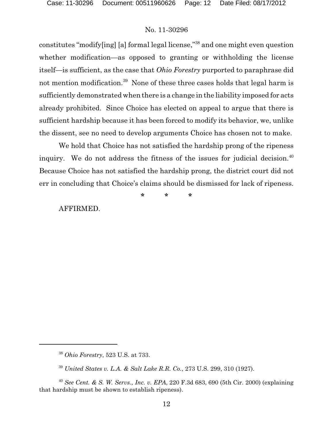constitutes "modify $\lceil \log \rceil$  [a] formal legal license,"<sup>38</sup> and one might even question whether modification—as opposed to granting or withholding the license itself—is sufficient, as the case that *Ohio Forestry* purported to paraphrase did not mention modification.<sup>39</sup> None of these three cases holds that legal harm is sufficiently demonstrated when there is a change in the liability imposed for acts already prohibited. Since Choice has elected on appeal to argue that there is sufficient hardship because it has been forced to modify its behavior, we, unlike the dissent, see no need to develop arguments Choice has chosen not to make.

We hold that Choice has not satisfied the hardship prong of the ripeness inquiry. We do not address the fitness of the issues for judicial decision.<sup>40</sup> Because Choice has not satisfied the hardship prong, the district court did not err in concluding that Choice's claims should be dismissed for lack of ripeness.

**\* \* \***

AFFIRMED.

*Ohio Forestry*, 523 U.S. at 733. 38

<sup>&</sup>lt;sup>39</sup> United States v. L.A. & Salt Lake R.R. Co., 273 U.S. 299, 310 (1927).

<sup>&</sup>lt;sup>40</sup> *See Cent. & S. W. Servs., Inc. v. EPA,* 220 F.3d 683, 690 (5th Cir. 2000) (explaining that hardship must be shown to establish ripeness).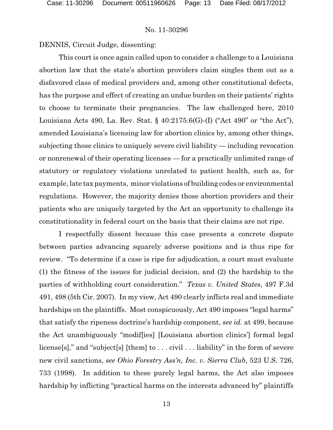DENNIS, Circuit Judge, dissenting:

This court is once again called upon to consider a challenge to a Louisiana abortion law that the state's abortion providers claim singles them out as a disfavored class of medical providers and, among other constitutional defects, has the purpose and effect of creating an undue burden on their patients' rights to choose to terminate their pregnancies. The law challenged here, 2010 Louisiana Acts 490, La. Rev. Stat. § 40:2175.6(G)-(I) ("Act 490" or "the Act"), amended Louisiana's licensing law for abortion clinics by, among other things, subjecting those clinics to uniquely severe civil liability — including revocation or nonrenewal of their operating licenses — for a practically unlimited range of statutory or regulatory violations unrelated to patient health, such as, for example, late tax payments, minor violations of building codes or environmental regulations. However, the majority denies those abortion providers and their patients who are uniquely targeted by the Act an opportunity to challenge its constitutionality in federal court on the basis that their claims are not ripe.

I respectfully dissent because this case presents a concrete dispute between parties advancing squarely adverse positions and is thus ripe for review. "To determine if a case is ripe for adjudication, a court must evaluate (1) the fitness of the issues for judicial decision, and (2) the hardship to the parties of withholding court consideration." *Texas v. United States*, 497 F.3d 491, 498 (5th Cir. 2007). In my view, Act 490 clearly inflicts real and immediate hardships on the plaintiffs. Most conspicuously, Act 490 imposes "legal harms" that satisfy the ripeness doctrine's hardship component, *see id.* at 499, because the Act unambiguously "modif[ies] [Louisiana abortion clinics'] formal legal license[s]," and "subject[s] [them] to . . . civil . . . liability" in the form of severe new civil sanctions, *see Ohio Forestry Ass'n, Inc. v. Sierra Club*, 523 U.S. 726, 733 (1998). In addition to these purely legal harms, the Act also imposes hardship by inflicting "practical harms on the interests advanced by" plaintiffs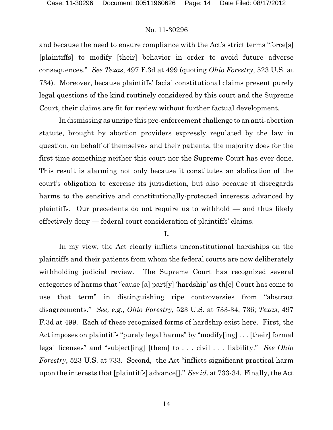and because the need to ensure compliance with the Act's strict terms "force[s] [plaintiffs] to modify [their] behavior in order to avoid future adverse consequences." *See Texas*, 497 F.3d at 499 (quoting *Ohio Forestry*, 523 U.S. at 734). Moreover, because plaintiffs' facial constitutional claims present purely legal questions of the kind routinely considered by this court and the Supreme Court, their claims are fit for review without further factual development.

In dismissing as unripe this pre-enforcement challenge to an anti-abortion statute, brought by abortion providers expressly regulated by the law in question, on behalf of themselves and their patients, the majority does for the first time something neither this court nor the Supreme Court has ever done. This result is alarming not only because it constitutes an abdication of the court's obligation to exercise its jurisdiction, but also because it disregards harms to the sensitive and constitutionally-protected interests advanced by plaintiffs. Our precedents do not require us to withhold — and thus likely effectively deny — federal court consideration of plaintiffs' claims.

#### **I.**

In my view, the Act clearly inflicts unconstitutional hardships on the plaintiffs and their patients from whom the federal courts are now deliberately withholding judicial review. The Supreme Court has recognized several categories of harms that "cause [a] part[y] 'hardship' as th[e] Court has come to use that term" in distinguishing ripe controversies from "abstract disagreements." *See, e.g.*, *Ohio Forestry*, 523 U.S. at 733-34, 736; *Texas*, 497 F.3d at 499. Each of these recognized forms of hardship exist here. First, the Act imposes on plaintiffs "purely legal harms" by "modify[ing] . . . [their] formal legal licenses" and "subject[ing] [them] to . . . civil . . . liability." *See Ohio Forestry*, 523 U.S. at 733. Second, the Act "inflicts significant practical harm upon the interests that [plaintiffs] advance[]." *See id.* at 733-34. Finally, the Act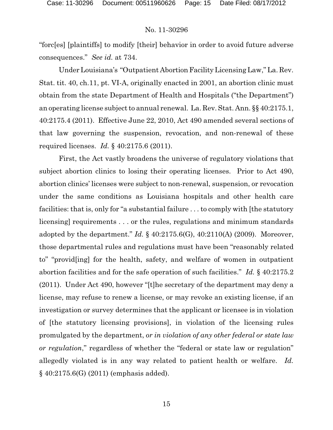"forc[es] [plaintiffs] to modify [their] behavior in order to avoid future adverse consequences." *See id.* at 734.

Under Louisiana's "Outpatient Abortion Facility Licensing Law," La. Rev. Stat. tit. 40, ch.11, pt. VI-A, originally enacted in 2001, an abortion clinic must obtain from the state Department of Health and Hospitals ("the Department") an operating license subject to annual renewal. La. Rev. Stat. Ann. §§ 40:2175.1, 40:2175.4 (2011). Effective June 22, 2010, Act 490 amended several sections of that law governing the suspension, revocation, and non-renewal of these required licenses. *Id.* § 40:2175.6 (2011).

First, the Act vastly broadens the universe of regulatory violations that subject abortion clinics to losing their operating licenses. Prior to Act 490, abortion clinics' licenses were subject to non-renewal, suspension, or revocation under the same conditions as Louisiana hospitals and other health care facilities: that is, only for "a substantial failure . . . to comply with [the statutory licensing] requirements . . . or the rules, regulations and minimum standards adopted by the department." *Id.* § 40:2175.6(G), 40:2110(A) (2009). Moreover, those departmental rules and regulations must have been "reasonably related to" "provid[ing] for the health, safety, and welfare of women in outpatient abortion facilities and for the safe operation of such facilities." *Id.* § 40:2175.2 (2011). Under Act 490, however "[t]he secretary of the department may deny a license, may refuse to renew a license, or may revoke an existing license, if an investigation or survey determines that the applicant or licensee is in violation of [the statutory licensing provisions], in violation of the licensing rules promulgated by the department, *or in violation of any other federal or state law or regulation*," regardless of whether the "federal or state law or regulation" allegedly violated is in any way related to patient health or welfare. *Id.* § 40:2175.6(G) (2011) (emphasis added).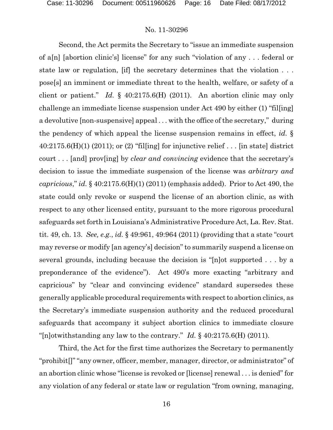Second, the Act permits the Secretary to "issue an immediate suspension of a[n] [abortion clinic's] license" for any such "violation of any . . . federal or state law or regulation, [if] the secretary determines that the violation . . . pose[s] an imminent or immediate threat to the health, welfare, or safety of a client or patient." *Id.* § 40:2175.6(H) (2011). An abortion clinic may only challenge an immediate license suspension under Act 490 by either (1) "fil[ing] a devolutive [non-suspensive] appeal . . . with the office of the secretary," during the pendency of which appeal the license suspension remains in effect, *id.* §  $40:2175.6(H)(1)$  (2011); or (2) "filling] for injunctive relief ... [in state] district court . . . [and] prov[ing] by *clear and convincing* evidence that the secretary's decision to issue the immediate suspension of the license was *arbitrary and capricious*," *id.* § 40:2175.6(H)(1) (2011) (emphasis added). Prior to Act 490, the state could only revoke or suspend the license of an abortion clinic, as with respect to any other licensed entity, pursuant to the more rigorous procedural safeguards set forth in Louisiana's Administrative Procedure Act, La. Rev. Stat. tit. 49, ch. 13. *See, e.g.*, *id.* § 49:961, 49:964 (2011) (providing that a state "court may reverse or modify [an agency's] decision" to summarily suspend a license on several grounds, including because the decision is "[n]ot supported . . . by a preponderance of the evidence"). Act 490's more exacting "arbitrary and capricious" by "clear and convincing evidence" standard supersedes these generally applicable procedural requirements with respect to abortion clinics, as the Secretary's immediate suspension authority and the reduced procedural safeguards that accompany it subject abortion clinics to immediate closure "[n]otwithstanding any law to the contrary." *Id.* § 40:2175.6(H) (2011)*.*

Third, the Act for the first time authorizes the Secretary to permanently "prohibit[]" "any owner, officer, member, manager, director, or administrator" of an abortion clinic whose "license is revoked or [license] renewal . . . is denied" for any violation of any federal or state law or regulation "from owning, managing,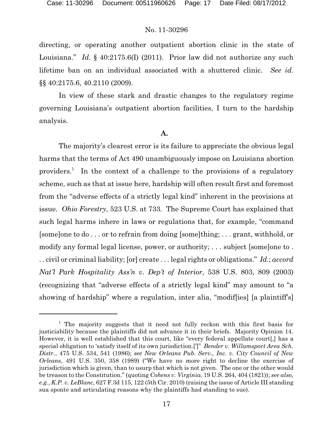directing, or operating another outpatient abortion clinic in the state of Louisiana." *Id.* § 40:2175.6(I) (2011). Prior law did not authorize any such lifetime ban on an individual associated with a shuttered clinic. *See id.* §§ 40:2175.6, 40.2110 (2009).

In view of these stark and drastic changes to the regulatory regime governing Louisiana's outpatient abortion facilities, I turn to the hardship analysis.

#### **A.**

The majority's clearest error is its failure to appreciate the obvious legal harms that the terms of Act 490 unambiguously impose on Louisiana abortion providers.<sup>1</sup> In the context of a challenge to the provisions of a regulatory scheme, such as that at issue here, hardship will often result first and foremost from the "adverse effects of a strictly legal kind" inherent in the provisions at issue. *Ohio Forestry*, 523 U.S. at 733*.* The Supreme Court has explained that such legal harms inhere in laws or regulations that, for example, "command [some]one to do . . . or to refrain from doing [some]thing; . . . grant, withhold, or modify any formal legal license, power, or authority; . . . subject [some]one to . . . civil or criminal liability; [or] create . . . legal rights or obligations." *Id.*; *accord Nat'l Park Hospitality Ass'n v. Dep't of Interior*, 538 U.S. 803, 809 (2003) (recognizing that "adverse effects of a strictly legal kind" may amount to "a showing of hardship" where a regulation, inter alia, "modif[ies] [a plaintiff's]

 $1$  The majority suggests that it need not fully reckon with this first basis for justiciability because the plaintiffs did not advance it in their briefs. Majority Opinion 14. However, it is well established that this court, like "every federal appellate court[,] has a special obligation to 'satisfy itself of its own jurisdiction.[']" *Bender v. Willamsport Area Sch. Distr.*, 475 U.S. 534, 541 (1986); *see New Orleans Pub. Serv., Inc. v. City Council of New Orleans*, 491 U.S. 350, 358 (1989) ("We have no more right to decline the exercise of jurisdiction which is given, than to usurp that which is not given. The one or the other would be treason to the Constitution." (quoting *Cohens v. Virginia*, 19 U.S. 264, 404 (1821)); *see also, e.g.*, *K.P. v. LeBlanc*, 627 F.3d 115, 122 (5th Cir. 2010) (raising the issue of Article III standing sua sponte and articulating reasons why the plaintiffs had standing to sue).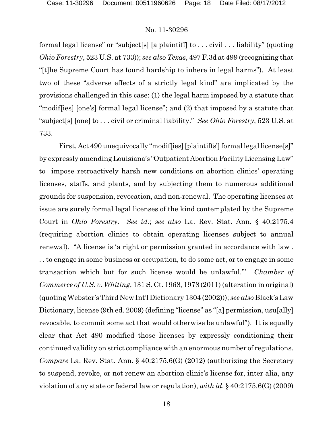formal legal license" or "subject[s] [a plaintiff] to . . . civil . . . liability" (quoting *Ohio Forestry*, 523 U.S. at 733)); *see also Texas*, 497 F.3d at 499 (recognizing that "[t]he Supreme Court has found hardship to inhere in legal harms"). At least two of these "adverse effects of a strictly legal kind" are implicated by the provisions challenged in this case: (1) the legal harm imposed by a statute that "modif[ies] [one's] formal legal license"; and (2) that imposed by a statute that "subject[s] [one] to . . . civil or criminal liability." *See Ohio Forestry*, 523 U.S. at 733.

First, Act 490 unequivocally "modiffies] [plaintiffs'] formal legal license[s]" by expressly amending Louisiana's "Outpatient AbortionFacilityLicensingLaw" to impose retroactively harsh new conditions on abortion clinics' operating licenses, staffs, and plants, and by subjecting them to numerous additional grounds for suspension, revocation, and non-renewal. The operating licenses at issue are surely formal legal licenses of the kind contemplated by the Supreme Court in *Ohio Forestry*. *See id.*; *see also* La. Rev. Stat. Ann. § 40:2175.4 (requiring abortion clinics to obtain operating licenses subject to annual renewal). "A license is 'a right or permission granted in accordance with law . . . to engage in some business or occupation, to do some act, or to engage in some transaction which but for such license would be unlawful.'" *Chamber of Commerce of U.S. v. Whiting*, 131 S. Ct. 1968, 1978 (2011) (alteration in original) (quoting Webster's Third New Int'l Dictionary 1304 (2002))); *see also* Black's Law Dictionary, license (9th ed. 2009) (defining "license" as "[a] permission, usu[ally] revocable, to commit some act that would otherwise be unlawful"). It is equally clear that Act 490 modified those licenses by expressly conditioning their continued validity on strict compliance with an enormousnumber of regulations. *Compare* La. Rev. Stat. Ann. § 40:2175.6(G) (2012) (authorizing the Secretary to suspend, revoke, or not renew an abortion clinic's license for, inter alia, any violation of any state or federal law or regulation), *with id.* § 40:2175.6(G) (2009)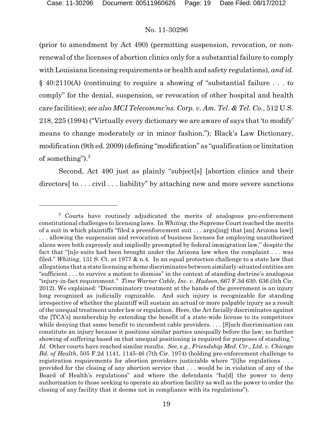(prior to amendment by Act 490) (permitting suspension, revocation, or nonrenewal of the licenses of abortion clinics only for a substantial failure to comply with Louisiana licensing requirements or health and safety regulations), *and id.* § 40:2110(A) (continuing to require a showing of "substantial failure . . . to comply" for the denial, suspension, or revocation of other hospital and health care facilities); *see also MCI Telecommc'ns. Corp. v. Am. Tel. & Tel. Co.*, 512 U.S. 218, 225 (1994) ("Virtually every dictionary we are aware of says that 'to modify' means to change moderately or in minor fashion."); Black's Law Dictionary, modification (9th ed. 2009) (defining "modification" as "qualification or limitation of something"). $^{2}$ 

Second, Act 490 just as plainly "subject[s] [abortion clinics and their directors] to . . . civil . . . liability" by attaching new and more severe sanctions

 $2$  Courts have routinely adjudicated the merits of analogous pre-enforcement constitutional challenges to licensing laws. In *Whiting*, the Supreme Court reached the merits of a suit in which plaintiffs "filed a preenforcement suit ... arguling that [an] Arizona law[] . . . allowing the suspension and revocation of business licenses for employing unauthorized aliens were both expressly and impliedly preempted by federal immigration law," despite the fact that "[n]o suits had been brought under the Arizona law when the complaint . . . was filed." *Whiting*, 131 S. Ct. at 1977 & n.4. In an equal protection challenge to a state law that allegations that a state licensing scheme discriminates between similarly-situated entities are "sufficient . . . to survive a motion to dismiss" in the context of standing doctrine's analogous "injury-in-fact requirement." *Time Warner Cable, Inc. v. Hudson*, 667 F.3d 630, 636 (5th Cir. 2012). We explained: "Discriminatory treatment at the hands of the government is an injury long recognized as judicially cognizable. And such injury is recognizable for standing irrespective of whether the plaintiff will sustain an actual or more palpable injury as a result of the unequal treatment under law or regulation. Here, the Act facially discriminates against the [TCA's] membership by extending the benefit of a state-wide license to its competitors while denying that same benefit to incumbent cable providers. . . . [S] uch discrimination can constitute an injury because it positions similar parties unequally before the law; no further showing of suffering based on that unequal positioning is required for purposes of standing." *Id.* Other courts have reached similar results. *See, e.g.*, *Friendship Med. Ctr., Ltd. v. Chicago Bd. of Health*, 505 F.2d 1141, 1145-46 (7th Cir. 1974) (holding pre-enforcement challenge to registration requirements for abortion providers justiciable where "[t]he regulations . . . provided for the closing of any abortion service that . . . would be in violation of any of the Board of Health's regulations" and where the defendants "ha[d] the power to deny authorization to those seeking to operate an abortion facility as well as the power to order the closing of any facility that it deems not in compliance with its regulations").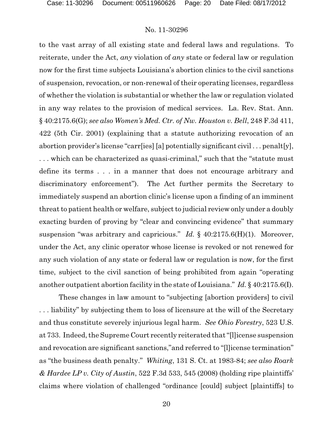to the vast array of all existing state and federal laws and regulations. To reiterate, under the Act, *any* violation of *any* state or federal law or regulation now for the first time subjects Louisiana's abortion clinics to the civil sanctions of suspension, revocation, or non-renewal of their operating licenses, regardless of whether the violation is substantial or whether the law or regulation violated in any way relates to the provision of medical services. La. Rev. Stat. Ann. § 40:2175.6(G); *see also Women's Med. Ctr. of Nw. Houston v. Bell*, 248 F.3d 411, 422 (5th Cir. 2001) (explaining that a statute authorizing revocation of an abortion provider's license "carr[ies] [a] potentially significant civil . . . penalt[y], . . . which can be characterized as quasi-criminal," such that the "statute must define its terms . . . in a manner that does not encourage arbitrary and discriminatory enforcement"). The Act further permits the Secretary to immediately suspend an abortion clinic's license upon a finding of an imminent threat to patient health or welfare, subject to judicial review only under a doubly exacting burden of proving by "clear and convincing evidence" that summary suspension "was arbitrary and capricious." *Id.* § 40:2175.6(H)(1). Moreover, under the Act, any clinic operator whose license is revoked or not renewed for any such violation of any state or federal law or regulation is now, for the first time, subject to the civil sanction of being prohibited from again "operating another outpatient abortion facility in the state of Louisiana." *Id.* § 40:2175.6(I).

These changes in law amount to "subjecting [abortion providers] to civil . . . liability" by subjecting them to loss of licensure at the will of the Secretary and thus constitute severely injurious legal harm. *See Ohio Forestry*, 523 U.S. at 733. Indeed, the Supreme Court recently reiterated that "[l]icense suspension and revocation are significant sanctions,"and referred to "[l]icense termination" as "the business death penalty." *Whiting*, 131 S. Ct. at 1983-84; *see also Roark & Hardee LP v. City of Austin*, 522 F.3d 533, 545 (2008) (holding ripe plaintiffs' claims where violation of challenged "ordinance [could] subject [plaintiffs] to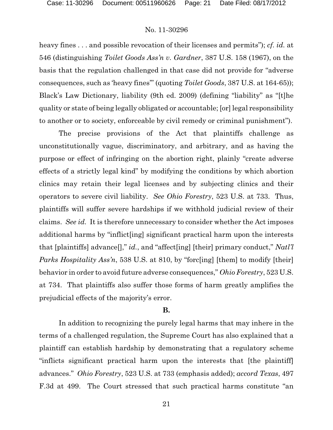heavy fines . . . and possible revocation of their licenses and permits"); *cf. id.* at 546 (distinguishing *Toilet Goods Ass'n v. Gardner*, 387 U.S. 158 (1967), on the basis that the regulation challenged in that case did not provide for "adverse consequences, such as 'heavy fines'" (quoting *Toilet Goods*, 387 U.S. at 164-65)); Black's Law Dictionary, liability (9th ed. 2009) (defining "liability" as "[t]he quality or state of being legally obligated or accountable; [or] legal responsibility to another or to society, enforceable by civil remedy or criminal punishment").

The precise provisions of the Act that plaintiffs challenge as unconstitutionally vague, discriminatory, and arbitrary, and as having the purpose or effect of infringing on the abortion right, plainly "create adverse effects of a strictly legal kind" by modifying the conditions by which abortion clinics may retain their legal licenses and by subjecting clinics and their operators to severe civil liability. *See Ohio Forestry*, 523 U.S. at 733. Thus, plaintiffs will suffer severe hardships if we withhold judicial review of their claims. *See id.* It is therefore unnecessary to consider whether the Act imposes additional harms by "inflict[ing] significant practical harm upon the interests that [plaintiffs] advance[]," *id.*, and "affect[ing] [their] primary conduct," *Natl'l Parks Hospitality Ass'n*, 538 U.S. at 810, by "forc[ing] [them] to modify [their] behavior in order to avoid future adverse consequences," *Ohio Forestry*, 523 U.S. at 734. That plaintiffs also suffer those forms of harm greatly amplifies the prejudicial effects of the majority's error.

#### **B.**

In addition to recognizing the purely legal harms that may inhere in the terms of a challenged regulation, the Supreme Court has also explained that a plaintiff can establish hardship by demonstrating that a regulatory scheme "inflicts significant practical harm upon the interests that [the plaintiff] advances." *Ohio Forestry*, 523 U.S. at 733 (emphasis added); *accord Texas*, 497 F.3d at 499. The Court stressed that such practical harms constitute "an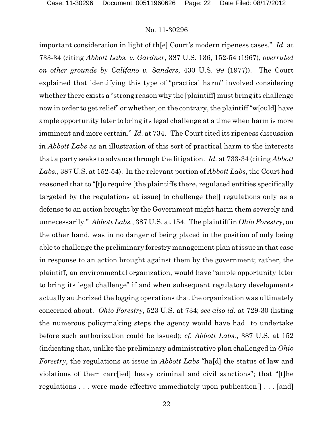important consideration in light of th[e] Court's modern ripeness cases." *Id.* at 733-34 (citing *Abbott Labs. v. Gardner*, 387 U.S. 136, 152-54 (1967), *overruled on other grounds by Califano v. Sanders*, 430 U.S. 99 (1977)). The Court explained that identifying this type of "practical harm" involved considering whether there exists a "strong reason why the [plaintiff] must bring its challenge now in order to get relief" or whether, on the contrary, the plaintiff "w[ould] have ample opportunity later to bring its legal challenge at a time when harm is more imminent and more certain." *Id.* at 734. The Court cited its ripeness discussion in *Abbott Labs* as an illustration of this sort of practical harm to the interests that a party seeks to advance through the litigation. *Id.* at 733-34 (citing *Abbott Labs.*, 387 U.S. at 152-54). In the relevant portion of *Abbott Labs*, the Court had reasoned that to "[t]o require [the plaintiffs there, regulated entities specifically targeted by the regulations at issue] to challenge the[] regulations only as a defense to an action brought by the Government might harm them severely and unnecessarily." *Abbott Labs.*, 387 U.S. at 154. The plaintiff in *Ohio Forestry*, on the other hand, was in no danger of being placed in the position of only being able to challenge the preliminary forestry management plan at issue in that case in response to an action brought against them by the government; rather, the plaintiff, an environmental organization, would have "ample opportunity later to bring its legal challenge" if and when subsequent regulatory developments actually authorized the logging operations that the organization was ultimately concerned about. *Ohio Forestry*, 523 U.S. at 734; *see also id.* at 729-30 (listing the numerous policymaking steps the agency would have had to undertake before such authorization could be issued); *cf. Abbott Labs.*, 387 U.S. at 152 (indicating that, unlike the preliminary administrative plan challenged in *Ohio Forestry*, the regulations at issue in *Abbott Labs* "ha[d] the status of law and violations of them carr[ied] heavy criminal and civil sanctions"; that "[t]he regulations . . . were made effective immediately upon publication[] . . . [and]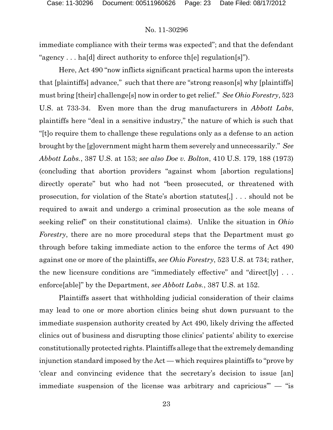immediate compliance with their terms was expected"; and that the defendant "agency . . . ha[d] direct authority to enforce th[e] regulation[s]").

Here, Act 490 "now inflicts significant practical harms upon the interests that [plaintiffs] advance," such that there are "strong reason[s] why [plaintiffs] must bring [their] challenge[s] now in order to get relief." *See Ohio Forestry*, 523 U.S. at 733-34. Even more than the drug manufacturers in *Abbott Labs*, plaintiffs here "deal in a sensitive industry," the nature of which is such that "[t]o require them to challenge these regulations only as a defense to an action brought by the [g]overnment might harm them severely and unnecessarily." *See Abbott Labs.*, 387 U.S. at 153; *see also Doe v. Bolton*, 410 U.S. 179, 188 (1973) (concluding that abortion providers "against whom [abortion regulations] directly operate" but who had not "been prosecuted, or threatened with prosecution, for violation of the State's abortion statutes[,] . . . should not be required to await and undergo a criminal prosecution as the sole means of seeking relief" on their constitutional claims). Unlike the situation in *Ohio Forestry*, there are no more procedural steps that the Department must go through before taking immediate action to the enforce the terms of Act 490 against one or more of the plaintiffs, *see Ohio Forestry*, 523 U.S. at 734; rather, the new licensure conditions are "immediately effective" and "direct $[ly]$ ... enforce[able]" by the Department, *see Abbott Labs.*, 387 U.S. at 152.

Plaintiffs assert that withholding judicial consideration of their claims may lead to one or more abortion clinics being shut down pursuant to the immediate suspension authority created by Act 490, likely driving the affected clinics out of business and disrupting those clinics' patients' ability to exercise constitutionally protected rights. Plaintiffs allege that the extremely demanding injunction standard imposed by the Act — which requires plaintiffs to "prove by 'clear and convincing evidence that the secretary's decision to issue [an] immediate suspension of the license was arbitrary and capricious'" — "is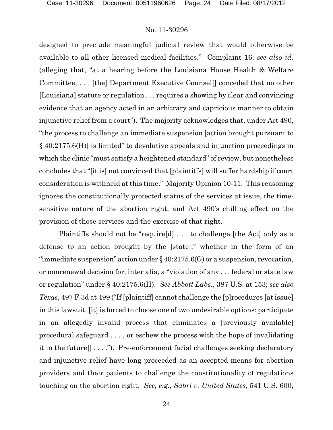designed to preclude meaningful judicial review that would otherwise be available to all other licensed medical facilities." Complaint 16; *see also id.* (alleging that, "at a hearing before the Louisiana House Health & Welfare Committee, . . . [the] Department Executive Counsel[] conceded that no other [Louisiana] statute or regulation . . . requires a showing by clear and convincing evidence that an agency acted in an arbitrary and capricious manner to obtain injunctive relief from a court"). The majority acknowledges that, under Act 490, "the process to challenge an immediate suspension [action brought pursuant to § 40:2175.6(H)] is limited" to devolutive appeals and injunction proceedings in which the clinic "must satisfy a heightened standard" of review, but nonetheless concludes that "[it is] not convinced that [plaintiffs] will suffer hardship if court consideration is withheld at this time." Majority Opinion 10-11. This reasoning ignores the constitutionally protected status of the services at issue, the timesensitive nature of the abortion right, and Act 490's chilling effect on the provision of those services and the exercise of that right.

Plaintiffs should not be "require[d] . . . to challenge [the Act] only as a defense to an action brought by the [state]," whether in the form of an "immediate suspension" action under  $\S 40:2175.6(G)$  or a suspension, revocation, or nonrenewal decision for, inter alia, a "violation of any . . . federal or state law or regulation" under § 40:2175.6(H). *See Abbott Labs.*, 387 U.S. at 153; *see also Texas*, 497 F.3d at 499 ("If [plaintiff] cannot challenge the [p]rocedures [at issue] in this lawsuit, [it] is forced to choose one of two undesirable options: participate in an allegedly invalid process that eliminates a [previously available] procedural safeguard . . . , or eschew the process with the hope of invalidating it in the future[] . . . ."). Pre-enforcement facial challenges seeking declaratory and injunctive relief have long proceeded as an accepted means for abortion providers and their patients to challenge the constitutionality of regulations touching on the abortion right. *See, e.g.*, *Sabri v. United States*, 541 U.S. 600,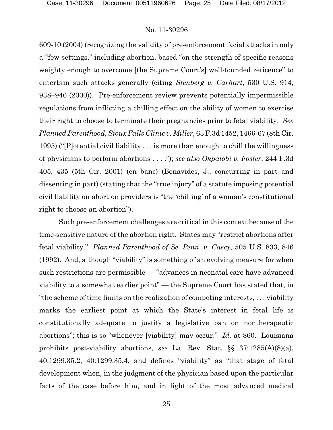609-10 (2004) (recognizing the validity of pre-enforcement facial attacks in only a "few settings," including abortion, based "on the strength of specific reasons weighty enough to overcome [the Supreme Court's] well-founded reticence" to entertain such attacks generally (citing *Stenberg v. Carhart*, 530 U.S. 914, 938–946 (2000)). Pre-enforcement review prevents potentially impermissible regulations from inflicting a chilling effect on the ability of women to exercise their right to choose to terminate their pregnancies prior to fetal viability. *See Planned Parenthood, Sioux Falls Clinic v. Miller*, 63 F.3d 1452, 1466-67 (8th Cir. 1995) ("[P]otential civil liability . . . is more than enough to chill the willingness of physicians to perform abortions . . . ."); *see also Okpalobi v. Foster*, 244 F.3d 405, 435 (5th Cir. 2001) (en banc) (Benavides, J., concurring in part and dissenting in part) (stating that the "true injury" of a statute imposing potential civil liability on abortion providers is "the 'chilling' of a woman's constitutional right to choose an abortion").

Such pre-enforcement challenges are critical in this context because of the time-sensitive nature of the abortion right. States may "restrict abortions after fetal viability." *Planned Parenthood of Se. Penn. v. Casey*, 505 U.S. 833, 846 (1992). And, although "viability" is something of an evolving measure for when such restrictions are permissible — "advances in neonatal care have advanced viability to a somewhat earlier point" — the Supreme Court has stated that, in "the scheme of time limits on the realization of competing interests, . . . viability marks the earliest point at which the State's interest in fetal life is constitutionally adequate to justify a legislative ban on nontherapeutic abortions"; this is so "whenever [viability] may occur." *Id.* at 860. Louisiana prohibits post-viability abortions, *see* La. Rev. Stat. §§ 37:1285(A)(8)(a), 40:1299.35.2, 40:1299.35.4, and defines "viability" as "that stage of fetal development when, in the judgment of the physician based upon the particular facts of the case before him, and in light of the most advanced medical

25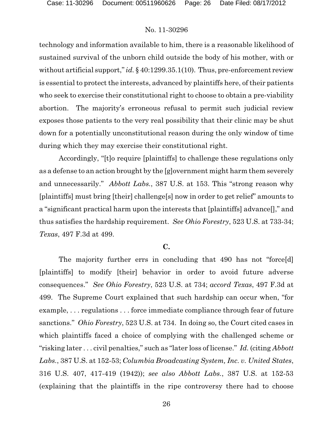technology and information available to him, there is a reasonable likelihood of sustained survival of the unborn child outside the body of his mother, with or without artificial support," *id.* § 40:1299.35.1(10). Thus, pre-enforcement review is essential to protect the interests, advanced by plaintiffs here, of their patients who seek to exercise their constitutional right to choose to obtain a pre-viability abortion. The majority's erroneous refusal to permit such judicial review exposes those patients to the very real possibility that their clinic may be shut down for a potentially unconstitutional reason during the only window of time during which they may exercise their constitutional right.

Accordingly, "[t]o require [plaintiffs] to challenge these regulations only as a defense to an action brought by the [g]overnment might harm them severely and unnecessarily." *Abbott Labs.*, 387 U.S. at 153. This "strong reason why [plaintiffs] must bring [their] challenge[s] now in order to get relief" amounts to a "significant practical harm upon the interests that [plaintiffs] advance[]," and thus satisfies the hardship requirement. *See Ohio Forestry*, 523 U.S. at 733-34; *Texas*, 497 F.3d at 499.

### **C.**

The majority further errs in concluding that 490 has not "force[d] [plaintiffs] to modify [their] behavior in order to avoid future adverse consequences." *See Ohio Forestry*, 523 U.S. at 734; *accord Texas*, 497 F.3d at 499. The Supreme Court explained that such hardship can occur when, "for example, . . . regulations . . . force immediate compliance through fear of future sanctions." *Ohio Forestry*, 523 U.S. at 734. In doing so, the Court cited cases in which plaintiffs faced a choice of complying with the challenged scheme or "risking later . . . civil penalties," such as "later loss of license." *Id.* (citing *Abbott Labs.*, 387 U.S. at 152-53; *Columbia Broadcasting System, Inc. v. United States*, 316 U.S. 407, 417-419 (1942)); *see also Abbott Labs.*, 387 U.S. at 152-53 (explaining that the plaintiffs in the ripe controversy there had to choose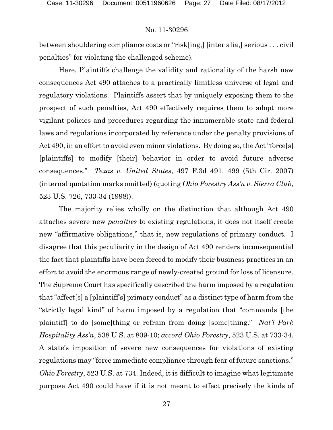between shouldering compliance costs or "risk[ing,] [inter alia,] serious . . . civil penalties" for violating the challenged scheme).

Here, Plaintiffs challenge the validity and rationality of the harsh new consequences Act 490 attaches to a practically limitless universe of legal and regulatory violations. Plaintiffs assert that by uniquely exposing them to the prospect of such penalties, Act 490 effectively requires them to adopt more vigilant policies and procedures regarding the innumerable state and federal laws and regulations incorporated by reference under the penalty provisions of Act 490, in an effort to avoid even minor violations. By doing so, the Act "force[s] [plaintiffs] to modify [their] behavior in order to avoid future adverse consequences." *Texas v. United States*, 497 F.3d 491, 499 (5th Cir. 2007) (internal quotation marks omitted) (quoting *Ohio Forestry Ass'n v. Sierra Club*, 523 U.S. 726, 733-34 (1998)).

The majority relies wholly on the distinction that although Act 490 attaches severe new *penalties* to existing regulations, it does not itself create new "affirmative obligations," that is, new regulations of primary conduct. I disagree that this peculiarity in the design of Act 490 renders inconsequential the fact that plaintiffs have been forced to modify their business practices in an effort to avoid the enormous range of newly-created ground for loss of licensure. The Supreme Court has specifically described the harm imposed by a regulation that "affect[s] a [plaintiff's] primary conduct" as a distinct type of harm from the "strictly legal kind" of harm imposed by a regulation that "commands [the plaintiff] to do [some]thing or refrain from doing [some]thing." *Nat'l Park Hospitality Ass'n*, 538 U.S. at 809-10; *accord Ohio Forestry*, 523 U.S. at 733-34. A state's imposition of severe new consequences for violations of existing regulations may "force immediate compliance through fear of future sanctions." *Ohio Forestry*, 523 U.S. at 734. Indeed, it is difficult to imagine what legitimate purpose Act 490 could have if it is not meant to effect precisely the kinds of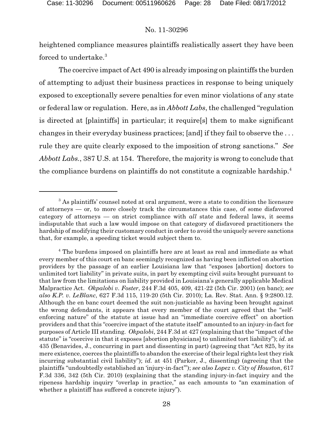heightened compliance measures plaintiffs realistically assert they have been forced to undertake. $^3$ 

The coercive impact of Act 490 is already imposing on plaintiffs the burden of attempting to adjust their business practices in response to being uniquely exposed to exceptionally severe penalties for even minor violations of any state or federal law or regulation. Here, as in *Abbott Labs*, the challenged "regulation is directed at [plaintiffs] in particular; it require[s] them to make significant changes in their everyday business practices; [and] if they fail to observe the . . . rule they are quite clearly exposed to the imposition of strong sanctions." *See Abbott Labs.*, 387 U.S. at 154. Therefore, the majority is wrong to conclude that the compliance burdens on plaintiffs do not constitute a cognizable hardship.<sup>4</sup>

 $3$  As plaintiffs' counsel noted at oral argument, were a state to condition the licensure of attorneys — or, to more closely track the circumstances this case, of some disfavored category of attorneys — on strict compliance with *all* state and federal laws, it seems indisputable that such a law would impose on that category of disfavored practitioners the hardship of modifying their customary conduct in order to avoid the uniquely severe sanctions that, for example, a speeding ticket would subject them to.

<sup>&</sup>lt;sup>4</sup> The burdens imposed on plaintiffs here are at least as real and immediate as what every member of this court en banc seemingly recognized as having been inflicted on abortion providers by the passage of an earlier Louisiana law that "exposes [abortion] doctors to unlimited tort liability" in private suits, in part by exempting civil suits brought pursuant to that law from the limitations on liability provided in Louisiana's generally applicable Medical Malpractice Act. *Okpalobi v. Foster*, 244 F.3d 405, 409, 421-22 (5th Cir. 2001) (en banc); *see also K.P. v. LeBlanc*, 627 F.3d 115, 119-20 (5th Cir. 2010); La. Rev. Stat. Ann. § 9:2800.12. Although the en banc court deemed the suit non-justiciable as having been brought against the wrong defendants, it appears that every member of the court agreed that the "selfenforcing nature" of the statute at issue had an "immediate coercive effect" on abortion providers and that this "coercive impact of the statute itself" amounted to an injury-in-fact for purposes of Article III standing. *Okpalobi*, 244 F.3d at 427 (explaining that the "impact of the statute" is "coercive in that it exposes [abortion physicians] to unlimited tort liability"); *id.* at 435 (Benavides, J., concurring in part and dissenting in part) (agreeing that "Act 825, by its mere existence, coerces the plaintiffs to abandon the exercise of their legal rights lest they risk incurring substantial civil liability"); *id.* at 451 (Parker, J., dissenting) (agreeing that the plaintiffs "undoubtedly established an 'injury-in-fact'"); *see also Lopez v. City of Houston*, 617 F.3d 336, 342 (5th Cir. 2010) (explaining that the standing injury-in-fact inquiry and the ripeness hardship inquiry "overlap in practice," as each amounts to "an examination of whether a plaintiff has suffered a concrete injury").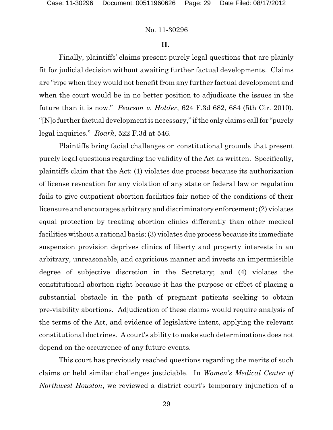#### **II.**

Finally, plaintiffs' claims present purely legal questions that are plainly fit for judicial decision without awaiting further factual developments. Claims are "ripe when they would not benefit from any further factual development and when the court would be in no better position to adjudicate the issues in the future than it is now." *Pearson v. Holder*, 624 F.3d 682, 684 (5th Cir. 2010). "[N]o further factual development is necessary," if the only claims call for "purely legal inquiries." *Roark*, 522 F.3d at 546.

Plaintiffs bring facial challenges on constitutional grounds that present purely legal questions regarding the validity of the Act as written. Specifically, plaintiffs claim that the Act: (1) violates due process because its authorization of license revocation for any violation of any state or federal law or regulation fails to give outpatient abortion facilities fair notice of the conditions of their licensure and encourages arbitrary and discriminatory enforcement; (2) violates equal protection by treating abortion clinics differently than other medical facilities without a rational basis; (3) violates due process because its immediate suspension provision deprives clinics of liberty and property interests in an arbitrary, unreasonable, and capricious manner and invests an impermissible degree of subjective discretion in the Secretary; and (4) violates the constitutional abortion right because it has the purpose or effect of placing a substantial obstacle in the path of pregnant patients seeking to obtain pre-viability abortions. Adjudication of these claims would require analysis of the terms of the Act, and evidence of legislative intent, applying the relevant constitutional doctrines. A court's ability to make such determinations does not depend on the occurrence of any future events.

This court has previously reached questions regarding the merits of such claims or held similar challenges justiciable. In *Women's Medical Center of Northwest Houston*, we reviewed a district court's temporary injunction of a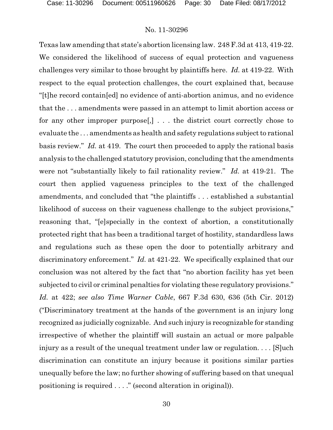Texas law amending that state's abortion licensing law. 248 F.3d at 413, 419-22. We considered the likelihood of success of equal protection and vagueness challenges very similar to those brought by plaintiffs here. *Id.* at 419-22. With respect to the equal protection challenges, the court explained that, because "[t]he record contain[ed] no evidence of anti-abortion animus, and no evidence that the . . . amendments were passed in an attempt to limit abortion access or for any other improper purpose[,] . . . the district court correctly chose to evaluate the . . . amendments as health and safety regulations subject to rational basis review." *Id.* at 419. The court then proceeded to apply the rational basis analysis to the challenged statutory provision, concluding that the amendments were not "substantially likely to fail rationality review." *Id.* at 419-21. The court then applied vagueness principles to the text of the challenged amendments, and concluded that "the plaintiffs . . . established a substantial likelihood of success on their vagueness challenge to the subject provisions," reasoning that, "[e]specially in the context of abortion, a constitutionally protected right that has been a traditional target of hostility, standardless laws and regulations such as these open the door to potentially arbitrary and discriminatory enforcement." *Id.* at 421-22. We specifically explained that our conclusion was not altered by the fact that "no abortion facility has yet been subjected to civil or criminal penalties for violating these regulatory provisions." *Id.* at 422; *see also Time Warner Cable*, 667 F.3d 630, 636 (5th Cir. 2012) ("Discriminatory treatment at the hands of the government is an injury long recognized as judicially cognizable. And such injury is recognizable for standing irrespective of whether the plaintiff will sustain an actual or more palpable injury as a result of the unequal treatment under law or regulation. . . . [S]uch discrimination can constitute an injury because it positions similar parties unequally before the law; no further showing of suffering based on that unequal positioning is required . . . ." (second alteration in original)).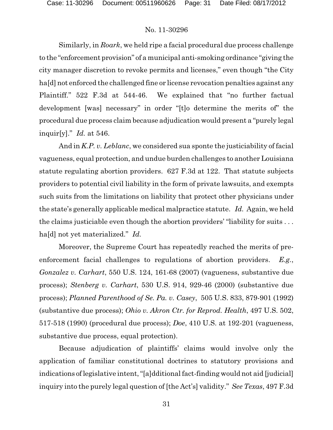Similarly, in *Roark*, we held ripe a facial procedural due process challenge to the "enforcement provision" of a municipal anti-smoking ordinance "giving the city manager discretion to revoke permits and licenses," even though "the City ha[d] not enforced the challenged fine or license revocation penalties against any Plaintiff." 522 F.3d at 544-46. We explained that "no further factual development [was] necessary" in order "[t]o determine the merits of" the procedural due process claim because adjudication would present a "purely legal inquir[y]." *Id.* at 546.

And in *K.P. v. Leblanc*, we considered sua sponte the justiciability of facial vagueness, equal protection, and undue burden challenges to another Louisiana statute regulating abortion providers. 627 F.3d at 122. That statute subjects providers to potential civil liability in the form of private lawsuits, and exempts such suits from the limitations on liability that protect other physicians under the state's generally applicable medical malpractice statute. *Id.* Again, we held the claims justiciable even though the abortion providers' "liability for suits . . . ha[d] not yet materialized." *Id.*

Moreover, the Supreme Court has repeatedly reached the merits of preenforcement facial challenges to regulations of abortion providers. *E.g.*, *Gonzalez v. Carhart*, 550 U.S. 124, 161-68 (2007) (vagueness, substantive due process); *Stenberg v. Carhart*, 530 U.S. 914, 929-46 (2000) (substantive due process); *Planned Parenthood of Se. Pa. v. Casey*, 505 U.S. 833, 879-901 (1992) (substantive due process); *Ohio v. Akron Ctr. for Reprod. Health*, 497 U.S. 502, 517-518 (1990) (procedural due process); *Doe*, 410 U.S. at 192-201 (vagueness, substantive due process, equal protection).

Because adjudication of plaintiffs' claims would involve only the application of familiar constitutional doctrines to statutory provisions and indications oflegislative intent, "[a]dditional fact-finding would not aid [judicial] inquiry into the purely legal question of [the Act's] validity." *See Texas*, 497 F.3d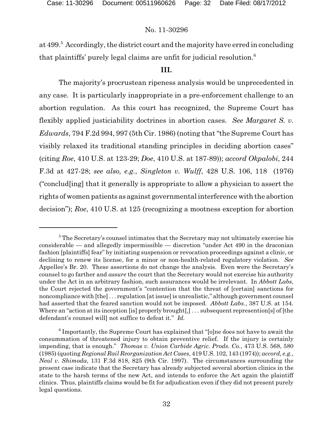at 499. Accordingly, the district court and the majority have erred in concluding <sup>5</sup> that plaintiffs' purely legal claims are unfit for judicial resolution.<sup>6</sup>

### **III.**

The majority's procrustean ripeness analysis would be unprecedented in any case. It is particularly inappropriate in a pre-enforcement challenge to an abortion regulation. As this court has recognized, the Supreme Court has flexibly applied justiciability doctrines in abortion cases. *See Margaret S. v. Edwards*, 794 F.2d 994, 997 (5th Cir. 1986) (noting that "the Supreme Court has visibly relaxed its traditional standing principles in deciding abortion cases" (citing *Roe*, 410 U.S. at 123-29; *Doe*, 410 U.S. at 187-89)); *accord Okpalobi*, 244 F.3d at 427-28; *see also, e.g.*, *Singleton v. Wulff*, 428 U.S. 106, 118 (1976) ("conclud[ing] that it generally is appropriate to allow a physician to assert the rights of women patients as against governmental interference with the abortion decision"); *Roe*, 410 U.S. at 125 (recognizing a mootness exception for abortion

<sup>&</sup>lt;sup>5</sup> The Secretary's counsel intimates that the Secretary may not ultimately exercise his considerable — and allegedly impermissible — discretion "under Act 490 in the draconian fashion [plaintiffs] fear" by initiating suspension or revocation proceedings against a clinic, or declining to renew its license, for a minor or non-health-related regulatory violation. *See* Appellee's Br. 20. These assertions do not change the analysis. Even were the Secretary's counsel to go farther and *assure* the court that the Secretary would not exercise his authority under the Act in an arbitrary fashion, such assurances would be irrelevant. In *Abbott Labs*, the Court rejected the government's "contention that the threat of [certain] sanctions for noncompliance with [the] . . . regulation [atissue] is unrealistic," although government counsel had asserted that the feared sanction would not be imposed. *Abbott Labs.*, 387 U.S. at 154. Where an "action at its inception [is] properly brought[,]... subsequent represention[s] of [the defendant's counsel will] not suffice to defeat it." *Id.*

 $6$  Importantly, the Supreme Court has explained that "[o]ne does not have to await the consummation of threatened injury to obtain preventive relief. If the injury is certainly impending, that is enough." *Thomas v. Union Carbide Agric. Prods. Co.*, 473 U.S. 568, 580 (1985) (quoting *Regional Rail Reorganization Act Cases*, 419 U.S. 102, 143 (1974)); *accord, e.g.*, *Neal v. Shimoda*, 131 F.3d 818, 825 (9th Cir. 1997). The circumstances surrounding the present case indicate that the Secretary has already subjected several abortion clinics in the state to the harsh terms of the new Act, and intends to enforce the Act again the plaintiff clinics. Thus, plaintiffs claims would be fit for adjudication even if they did not present purely legal questions.